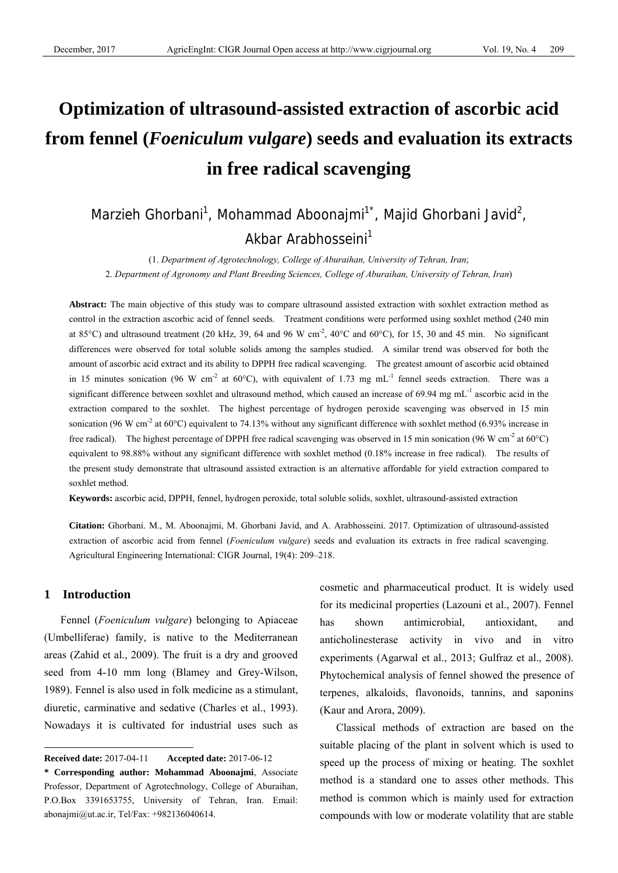# **Optimization of ultrasound-assisted extraction of ascorbic acid from fennel (***Foeniculum vulgare***) seeds and evaluation its extracts in free radical scavenging**

# Marzieh Ghorbani<sup>1</sup>, Mohammad Aboonajmi<sup>1\*</sup>, Majid Ghorbani Javid<sup>2</sup>, Akbar Arabhosseini<sup>1</sup>

(1. *Department of Agrotechnology, College of Aburaihan, University of Tehran, Iran*; 2. *Department of Agronomy and Plant Breeding Sciences, College of Aburaihan, University of Tehran, Iran*)

**Abstract:** The main objective of this study was to compare ultrasound assisted extraction with soxhlet extraction method as control in the extraction ascorbic acid of fennel seeds. Treatment conditions were performed using soxhlet method (240 min at 85°C) and ultrasound treatment (20 kHz, 39, 64 and 96 W cm<sup>-2</sup>, 40°C and 60°C), for 15, 30 and 45 min. No significant differences were observed for total soluble solids among the samples studied. A similar trend was observed for both the amount of ascorbic acid extract and its ability to DPPH free radical scavenging. The greatest amount of ascorbic acid obtained in 15 minutes sonication (96 W cm<sup>-2</sup> at 60°C), with equivalent of 1.73 mg mL<sup>-1</sup> fennel seeds extraction. There was a significant difference between soxhlet and ultrasound method, which caused an increase of 69.94 mg mL<sup>-1</sup> ascorbic acid in the extraction compared to the soxhlet. The highest percentage of hydrogen peroxide scavenging was observed in 15 min sonication (96 W cm<sup>-2</sup> at 60°C) equivalent to 74.13% without any significant difference with soxhlet method (6.93% increase in free radical). The highest percentage of DPPH free radical scavenging was observed in 15 min sonication (96 W cm<sup>-2</sup> at 60°C) equivalent to 98.88% without any significant difference with soxhlet method (0.18% increase in free radical). The results of the present study demonstrate that ultrasound assisted extraction is an alternative affordable for yield extraction compared to soxhlet method.

**Keywords:** ascorbic acid, DPPH, fennel, hydrogen peroxide, total soluble solids, soxhlet, ultrasound-assisted extraction

**Citation:** Ghorbani. M., M. Aboonajmi, M. Ghorbani Javid, and A. Arabhosseini. 2017. Optimization of ultrasound-assisted extraction of ascorbic acid from fennel (*Foeniculum vulgare*) seeds and evaluation its extracts in free radical scavenging. Agricultural Engineering International: CIGR Journal, 19(4): 209–218.

# **1 Introduction**

 $\overline{a}$ 

Fennel (*Foeniculum vulgare*) belonging to Apiaceae (Umbelliferae) family, is native to the Mediterranean areas (Zahid et al., 2009). The fruit is a dry and grooved seed from 4-10 mm long (Blamey and Grey-Wilson, 1989). Fennel is also used in folk medicine as a stimulant, diuretic, carminative and sedative (Charles et al., 1993). Nowadays it is cultivated for industrial uses such as cosmetic and pharmaceutical product. It is widely used for its medicinal properties (Lazouni et al., 2007). Fennel has shown antimicrobial, antioxidant, and anticholinesterase activity in vivo and in vitro experiments (Agarwal et al., 2013; Gulfraz et al., 2008). Phytochemical analysis of fennel showed the presence of terpenes, alkaloids, flavonoids, tannins, and saponins (Kaur and Arora, 2009).

Classical methods of extraction are based on the suitable placing of the plant in solvent which is used to speed up the process of mixing or heating. The soxhlet method is a standard one to asses other methods. This method is common which is mainly used for extraction compounds with low or moderate volatility that are stable

**Received date:** 2017-04-11 **Accepted date:** 2017-06-12

**<sup>\*</sup> Corresponding author: Mohammad Aboonajmi**, Associate Professor, Department of Agrotechnology, College of Aburaihan, P.O.Box 3391653755, University of Tehran, Iran. Email: abonajmi@ut.ac.ir, Tel/Fax: +982136040614.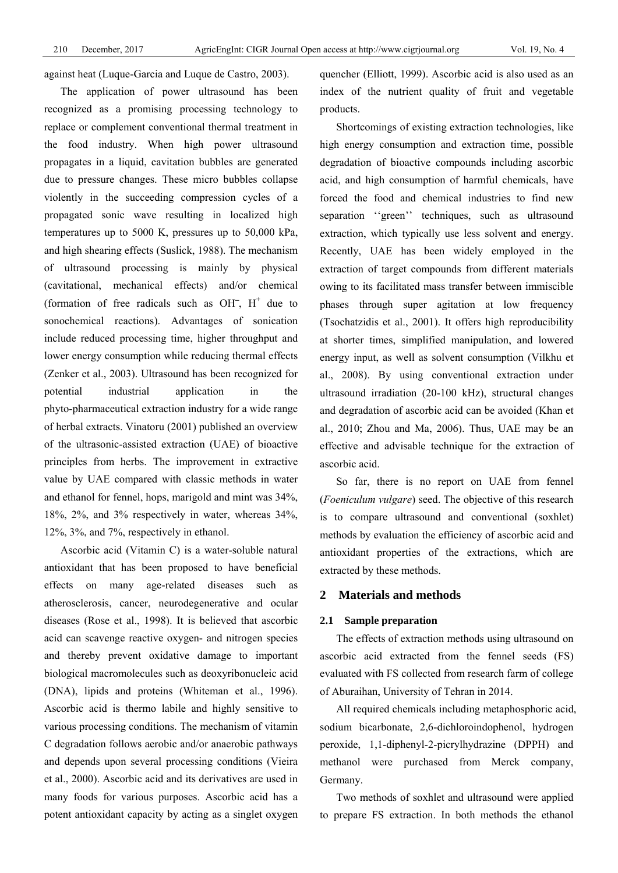against heat (Luque-Garcia and Luque de Castro, 2003).

The application of power ultrasound has been recognized as a promising processing technology to replace or complement conventional thermal treatment in the food industry. When high power ultrasound propagates in a liquid, cavitation bubbles are generated due to pressure changes. These micro bubbles collapse violently in the succeeding compression cycles of a propagated sonic wave resulting in localized high temperatures up to 5000 K, pressures up to 50,000 kPa, and high shearing effects (Suslick, 1988). The mechanism of ultrasound processing is mainly by physical (cavitational, mechanical effects) and/or chemical (formation of free radicals such as OH $^-$ , H<sup>+</sup> due to sonochemical reactions). Advantages of sonication include reduced processing time, higher throughput and lower energy consumption while reducing thermal effects (Zenker et al., 2003). Ultrasound has been recognized for potential industrial application in the phyto-pharmaceutical extraction industry for a wide range of herbal extracts. Vinatoru (2001) published an overview of the ultrasonic-assisted extraction (UAE) of bioactive principles from herbs. The improvement in extractive value by UAE compared with classic methods in water and ethanol for fennel, hops, marigold and mint was 34%, 18%, 2%, and 3% respectively in water, whereas 34%, 12%, 3%, and 7%, respectively in ethanol.

Ascorbic acid (Vitamin C) is a water-soluble natural antioxidant that has been proposed to have beneficial effects on many age-related diseases such as atherosclerosis, cancer, neurodegenerative and ocular diseases (Rose et al., 1998). It is believed that ascorbic acid can scavenge reactive oxygen- and nitrogen species and thereby prevent oxidative damage to important biological macromolecules such as deoxyribonucleic acid (DNA), lipids and proteins (Whiteman et al., 1996). Ascorbic acid is thermo labile and highly sensitive to various processing conditions. The mechanism of vitamin C degradation follows aerobic and/or anaerobic pathways and depends upon several processing conditions (Vieira et al., 2000). Ascorbic acid and its derivatives are used in many foods for various purposes. Ascorbic acid has a potent antioxidant capacity by acting as a singlet oxygen quencher (Elliott, 1999). Ascorbic acid is also used as an index of the nutrient quality of fruit and vegetable products.

Shortcomings of existing extraction technologies, like high energy consumption and extraction time, possible degradation of bioactive compounds including ascorbic acid, and high consumption of harmful chemicals, have forced the food and chemical industries to find new separation ''green'' techniques, such as ultrasound extraction, which typically use less solvent and energy. Recently, UAE has been widely employed in the extraction of target compounds from different materials owing to its facilitated mass transfer between immiscible phases through super agitation at low frequency (Tsochatzidis et al., 2001). It offers high reproducibility at shorter times, simplified manipulation, and lowered energy input, as well as solvent consumption (Vilkhu et al., 2008). By using conventional extraction under ultrasound irradiation (20-100 kHz), structural changes and degradation of ascorbic acid can be avoided (Khan et al., 2010; Zhou and Ma, 2006). Thus, UAE may be an effective and advisable technique for the extraction of ascorbic acid.

So far, there is no report on UAE from fennel (*Foeniculum vulgare*) seed. The objective of this research is to compare ultrasound and conventional (soxhlet) methods by evaluation the efficiency of ascorbic acid and antioxidant properties of the extractions, which are extracted by these methods.

# **2 Materials and methods**

#### **2.1 Sample preparation**

The effects of extraction methods using ultrasound on ascorbic acid extracted from the fennel seeds (FS) evaluated with FS collected from research farm of college of Aburaihan, University of Tehran in 2014.

All required chemicals including metaphosphoric acid, sodium bicarbonate, 2,6-dichloroindophenol, hydrogen peroxide, 1,1-diphenyl-2-picrylhydrazine (DPPH) and methanol were purchased from Merck company, Germany.

Two methods of soxhlet and ultrasound were applied to prepare FS extraction. In both methods the ethanol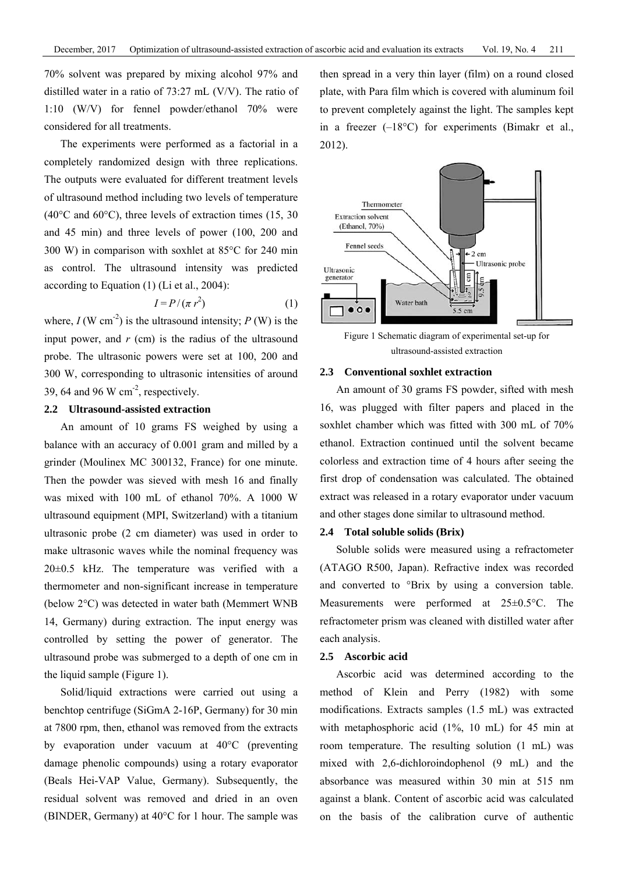70% solvent was prepared by mixing alcohol 97% and distilled water in a ratio of 73:27 mL (V/V). The ratio of 1:10 (W/V) for fennel powder/ethanol 70% were considered for all treatments.

The experiments were performed as a factorial in a completely randomized design with three replications. The outputs were evaluated for different treatment levels of ultrasound method including two levels of temperature (40°C and 60°C), three levels of extraction times (15, 30 and 45 min) and three levels of power (100, 200 and 300 W) in comparison with soxhlet at 85°C for 240 min as control. The ultrasound intensity was predicted according to Equation (1) (Li et al., 2004):

$$
I = P/(\pi r^2) \tag{1}
$$

where,  $I(W \text{ cm}^{-2})$  is the ultrasound intensity;  $P(W)$  is the input power, and  $r$  (cm) is the radius of the ultrasound probe. The ultrasonic powers were set at 100, 200 and 300 W, corresponding to ultrasonic intensities of around 39, 64 and 96 W  $\text{cm}^2$ , respectively.

# **2.2 Ultrasound-assisted extraction**

An amount of 10 grams FS weighed by using a balance with an accuracy of 0.001 gram and milled by a grinder (Moulinex MC 300132, France) for one minute. Then the powder was sieved with mesh 16 and finally was mixed with 100 mL of ethanol 70%. A 1000 W ultrasound equipment (MPI, Switzerland) with a titanium ultrasonic probe (2 cm diameter) was used in order to make ultrasonic waves while the nominal frequency was 20±0.5 kHz. The temperature was verified with a thermometer and non-significant increase in temperature (below 2°C) was detected in water bath (Memmert WNB 14, Germany) during extraction. The input energy was controlled by setting the power of generator. The ultrasound probe was submerged to a depth of one cm in the liquid sample (Figure 1).

Solid/liquid extractions were carried out using a benchtop centrifuge (SiGmA 2-16P, Germany) for 30 min at 7800 rpm, then, ethanol was removed from the extracts by evaporation under vacuum at 40°C (preventing damage phenolic compounds) using a rotary evaporator (Beals Hei-VAP Value, Germany). Subsequently, the residual solvent was removed and dried in an oven (BINDER, Germany) at 40°C for 1 hour. The sample was then spread in a very thin layer (film) on a round closed plate, with Para film which is covered with aluminum foil to prevent completely against the light. The samples kept in a freezer  $(-18^{\circ}C)$  for experiments (Bimakr et al., 2012).



Figure 1 Schematic diagram of experimental set-up for ultrasound-assisted extraction

#### **2.3 Conventional soxhlet extraction**

An amount of 30 grams FS powder, sifted with mesh 16, was plugged with filter papers and placed in the soxhlet chamber which was fitted with 300 mL of 70% ethanol. Extraction continued until the solvent became colorless and extraction time of 4 hours after seeing the first drop of condensation was calculated. The obtained extract was released in a rotary evaporator under vacuum and other stages done similar to ultrasound method.

#### **2.4 Total soluble solids (Brix)**

Soluble solids were measured using a refractometer (ATAGO R500, Japan). Refractive index was recorded and converted to °Brix by using a conversion table. Measurements were performed at 25±0.5°C. The refractometer prism was cleaned with distilled water after each analysis.

#### **2.5 Ascorbic acid**

Ascorbic acid was determined according to the method of Klein and Perry (1982) with some modifications. Extracts samples (1.5 mL) was extracted with metaphosphoric acid (1%, 10 mL) for 45 min at room temperature. The resulting solution (1 mL) was mixed with 2,6-dichloroindophenol (9 mL) and the absorbance was measured within 30 min at 515 nm against a blank. Content of ascorbic acid was calculated on the basis of the calibration curve of authentic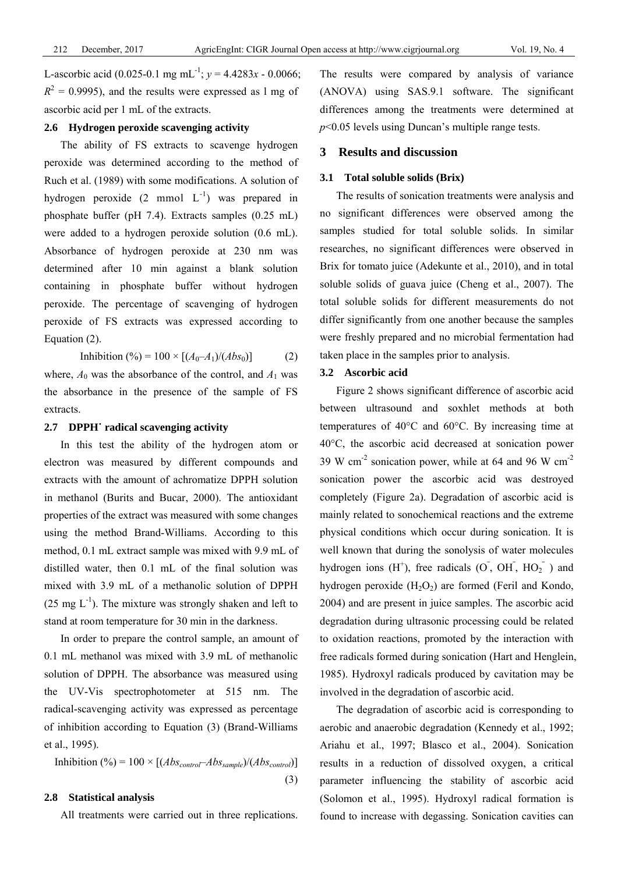L-ascorbic acid (0.025-0.1 mg mL<sup>-1</sup>;  $y = 4.4283x - 0.0066$ ;  $R<sup>2</sup> = 0.9995$ , and the results were expressed as 1 mg of ascorbic acid per 1 mL of the extracts.

#### **2.6 Hydrogen peroxide scavenging activity**

The ability of FS extracts to scavenge hydrogen peroxide was determined according to the method of Ruch et al. (1989) with some modifications. A solution of hydrogen peroxide  $(2 \text{ mmol } L^{-1})$  was prepared in phosphate buffer (pH 7.4). Extracts samples (0.25 mL) were added to a hydrogen peroxide solution (0.6 mL). Absorbance of hydrogen peroxide at 230 nm was determined after 10 min against a blank solution containing in phosphate buffer without hydrogen peroxide. The percentage of scavenging of hydrogen peroxide of FS extracts was expressed according to Equation (2).

Inhibition (%) = 100 ×  $[(A_0 - A_1)/(Abs_0)]$  (2) where,  $A_0$  was the absorbance of the control, and  $A_1$  was the absorbance in the presence of the sample of FS extracts.

# **2.7 DPPH˙ radical scavenging activity**

In this test the ability of the hydrogen atom or electron was measured by different compounds and extracts with the amount of achromatize DPPH solution in methanol (Burits and Bucar, 2000). The antioxidant properties of the extract was measured with some changes using the method Brand-Williams. According to this method, 0.1 mL extract sample was mixed with 9.9 mL of distilled water, then 0.1 mL of the final solution was mixed with 3.9 mL of a methanolic solution of DPPH  $(25 \text{ mg } L^{-1})$ . The mixture was strongly shaken and left to stand at room temperature for 30 min in the darkness.

In order to prepare the control sample, an amount of 0.1 mL methanol was mixed with 3.9 mL of methanolic solution of DPPH. The absorbance was measured using the UV-Vis spectrophotometer at 515 nm. The radical-scavenging activity was expressed as percentage of inhibition according to Equation (3) (Brand-Williams et al., 1995).

Inhibition (%) = 
$$
100 \times [(Abs_{control} - Abs_{sample})/(Abs_{control})]
$$

#### **2.8 Statistical analysis**

All treatments were carried out in three replications.

(3)

The results were compared by analysis of variance (ANOVA) using SAS.9.1 software. The significant differences among the treatments were determined at *p*<0.05 levels using Duncan's multiple range tests.

# **3 Results and discussion**

#### **3.1 Total soluble solids (Brix)**

The results of sonication treatments were analysis and no significant differences were observed among the samples studied for total soluble solids. In similar researches, no significant differences were observed in Brix for tomato juice (Adekunte et al., 2010), and in total soluble solids of guava juice (Cheng et al., 2007). The total soluble solids for different measurements do not differ significantly from one another because the samples were freshly prepared and no microbial fermentation had taken place in the samples prior to analysis.

#### **3.2 Ascorbic acid**

Figure 2 shows significant difference of ascorbic acid between ultrasound and soxhlet methods at both temperatures of 40°C and 60°C. By increasing time at 40°C, the ascorbic acid decreased at sonication power 39 W cm<sup>-2</sup> sonication power, while at 64 and 96 W cm<sup>-2</sup> sonication power the ascorbic acid was destroyed completely (Figure 2a). Degradation of ascorbic acid is mainly related to sonochemical reactions and the extreme physical conditions which occur during sonication. It is well known that during the sonolysis of water molecules hydrogen ions  $(H^+)$ , free radicals  $(O, OH, HO<sub>2</sub><sup>-</sup>)$  and hydrogen peroxide  $(H_2O_2)$  are formed (Feril and Kondo, 2004) and are present in juice samples. The ascorbic acid degradation during ultrasonic processing could be related to oxidation reactions, promoted by the interaction with free radicals formed during sonication (Hart and Henglein, 1985). Hydroxyl radicals produced by cavitation may be involved in the degradation of ascorbic acid.

The degradation of ascorbic acid is corresponding to aerobic and anaerobic degradation (Kennedy et al., 1992; Ariahu et al., 1997; Blasco et al., 2004). Sonication results in a reduction of dissolved oxygen, a critical parameter influencing the stability of ascorbic acid (Solomon et al., 1995). Hydroxyl radical formation is found to increase with degassing. Sonication cavities can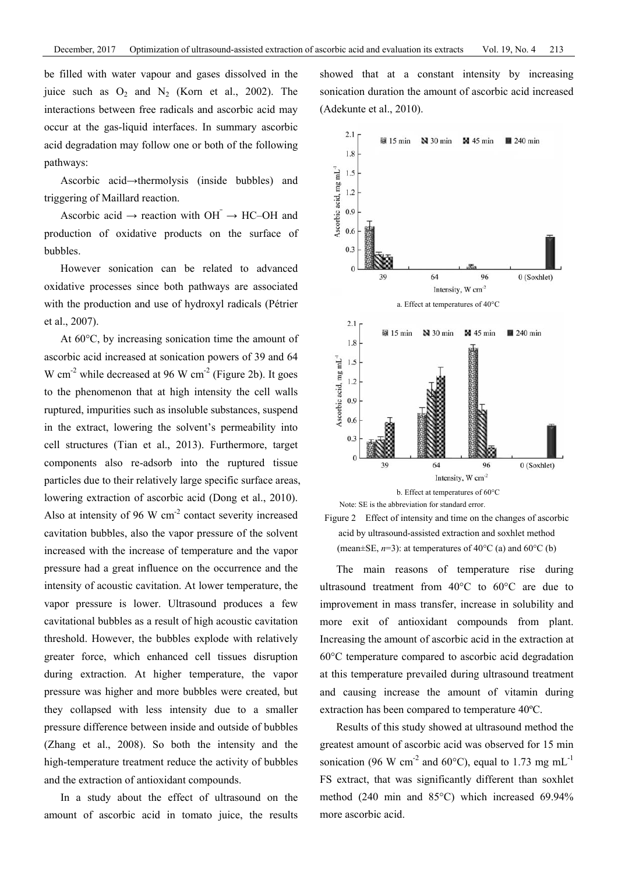be filled with water vapour and gases dissolved in the juice such as  $O_2$  and  $N_2$  (Korn et al., 2002). The interactions between free radicals and ascorbic acid may occur at the gas-liquid interfaces. In summary ascorbic acid degradation may follow one or both of the following pathways:

Ascorbic acid→thermolysis (inside bubbles) and triggering of Maillard reaction.

Ascorbic acid  $\rightarrow$  reaction with OH  $\rightarrow$  HC–OH and production of oxidative products on the surface of bubbles.

However sonication can be related to advanced oxidative processes since both pathways are associated with the production and use of hydroxyl radicals (Pétrier et al., 2007).

At 60°C, by increasing sonication time the amount of ascorbic acid increased at sonication powers of 39 and 64 W cm<sup>-2</sup> while decreased at 96 W cm<sup>-2</sup> (Figure 2b). It goes to the phenomenon that at high intensity the cell walls ruptured, impurities such as insoluble substances, suspend in the extract, lowering the solvent's permeability into cell structures (Tian et al., 2013). Furthermore, target components also re-adsorb into the ruptured tissue particles due to their relatively large specific surface areas, lowering extraction of ascorbic acid (Dong et al., 2010). Also at intensity of 96 W cm<sup>-2</sup> contact severity increased cavitation bubbles, also the vapor pressure of the solvent increased with the increase of temperature and the vapor pressure had a great influence on the occurrence and the intensity of acoustic cavitation. At lower temperature, the vapor pressure is lower. Ultrasound produces a few cavitational bubbles as a result of high acoustic cavitation threshold. However, the bubbles explode with relatively greater force, which enhanced cell tissues disruption during extraction. At higher temperature, the vapor pressure was higher and more bubbles were created, but they collapsed with less intensity due to a smaller pressure difference between inside and outside of bubbles (Zhang et al., 2008). So both the intensity and the high-temperature treatment reduce the activity of bubbles and the extraction of antioxidant compounds.

In a study about the effect of ultrasound on the amount of ascorbic acid in tomato juice, the results showed that at a constant intensity by increasing sonication duration the amount of ascorbic acid increased (Adekunte et al., 2010).



Figure 2 Effect of intensity and time on the changes of ascorbic acid by ultrasound-assisted extraction and soxhlet method (mean $\pm$ SE, *n*=3): at temperatures of 40 $\degree$ C (a) and 60 $\degree$ C (b)

The main reasons of temperature rise during ultrasound treatment from 40°C to 60°C are due to improvement in mass transfer, increase in solubility and more exit of antioxidant compounds from plant. Increasing the amount of ascorbic acid in the extraction at 60°C temperature compared to ascorbic acid degradation at this temperature prevailed during ultrasound treatment and causing increase the amount of vitamin during extraction has been compared to temperature 40ºC.

Results of this study showed at ultrasound method the greatest amount of ascorbic acid was observed for 15 min sonication (96 W cm<sup>-2</sup> and 60°C), equal to 1.73 mg mL<sup>-1</sup> FS extract, that was significantly different than soxhlet method (240 min and 85°C) which increased 69.94% more ascorbic acid.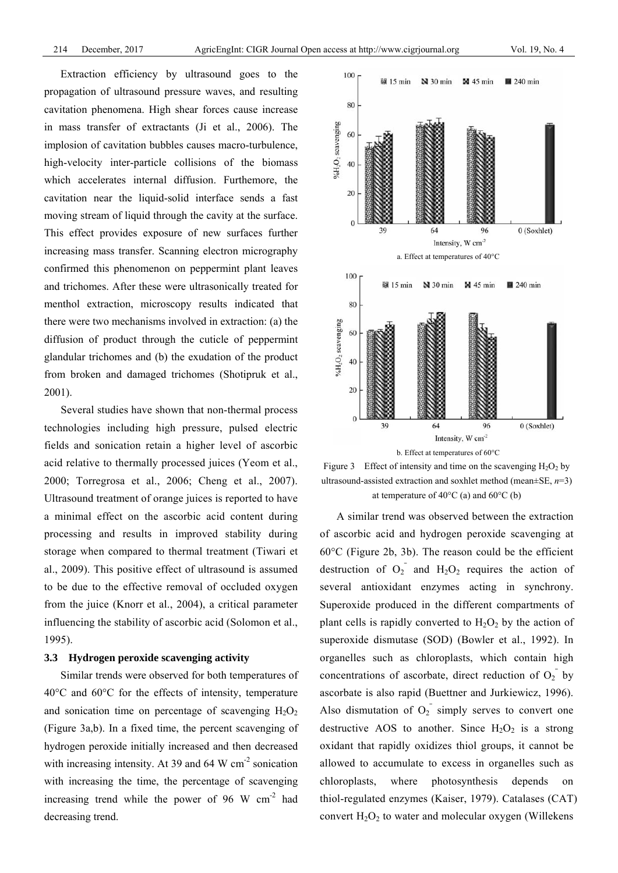Extraction efficiency by ultrasound goes to the propagation of ultrasound pressure waves, and resulting cavitation phenomena. High shear forces cause increase in mass transfer of extractants (Ji et al., 2006). The implosion of cavitation bubbles causes macro-turbulence, high-velocity inter-particle collisions of the biomass which accelerates internal diffusion. Furthemore, the cavitation near the liquid-solid interface sends a fast moving stream of liquid through the cavity at the surface. This effect provides exposure of new surfaces further increasing mass transfer. Scanning electron micrography confirmed this phenomenon on peppermint plant leaves and trichomes. After these were ultrasonically treated for menthol extraction, microscopy results indicated that there were two mechanisms involved in extraction: (a) the diffusion of product through the cuticle of peppermint glandular trichomes and (b) the exudation of the product from broken and damaged trichomes (Shotipruk et al., 2001).

Several studies have shown that non-thermal process technologies including high pressure, pulsed electric fields and sonication retain a higher level of ascorbic acid relative to thermally processed juices (Yeom et al., 2000; Torregrosa et al., 2006; Cheng et al., 2007). Ultrasound treatment of orange juices is reported to have a minimal effect on the ascorbic acid content during processing and results in improved stability during storage when compared to thermal treatment (Tiwari et al., 2009). This positive effect of ultrasound is assumed to be due to the effective removal of occluded oxygen from the juice (Knorr et al., 2004), a critical parameter influencing the stability of ascorbic acid (Solomon et al., 1995).

## **3.3 Hydrogen peroxide scavenging activity**

Similar trends were observed for both temperatures of 40°C and 60°C for the effects of intensity, temperature and sonication time on percentage of scavenging  $H_2O_2$ (Figure 3a,b). In a fixed time, the percent scavenging of hydrogen peroxide initially increased and then decreased with increasing intensity. At 39 and 64 W cm<sup>-2</sup> sonication with increasing the time, the percentage of scavenging increasing trend while the power of 96 W  $\text{cm}^{-2}$  had decreasing trend.



Figure 3 Effect of intensity and time on the scavenging  $H_2O_2$  by ultrasound-assisted extraction and soxhlet method (mean±SE, *n*=3) at temperature of  $40^{\circ}$ C (a) and  $60^{\circ}$ C (b)

A similar trend was observed between the extraction of ascorbic acid and hydrogen peroxide scavenging at 60°C (Figure 2b, 3b). The reason could be the efficient destruction of  $O_2$ <sup>-</sup> and  $H_2O_2$  requires the action of several antioxidant enzymes acting in synchrony. Superoxide produced in the different compartments of plant cells is rapidly converted to  $H_2O_2$  by the action of superoxide dismutase (SOD) (Bowler et al., 1992). In organelles such as chloroplasts, which contain high concentrations of ascorbate, direct reduction of  $O_2$ <sup>-</sup> by ascorbate is also rapid (Buettner and Jurkiewicz, 1996). Also dismutation of  $O_2$ <sup> $\overline{\phantom{a}}$ </sup> simply serves to convert one destructive AOS to another. Since  $H_2O_2$  is a strong oxidant that rapidly oxidizes thiol groups, it cannot be allowed to accumulate to excess in organelles such as chloroplasts, where photosynthesis depends on thiol-regulated enzymes (Kaiser, 1979). Catalases (CAT) convert  $H_2O_2$  to water and molecular oxygen (Willekens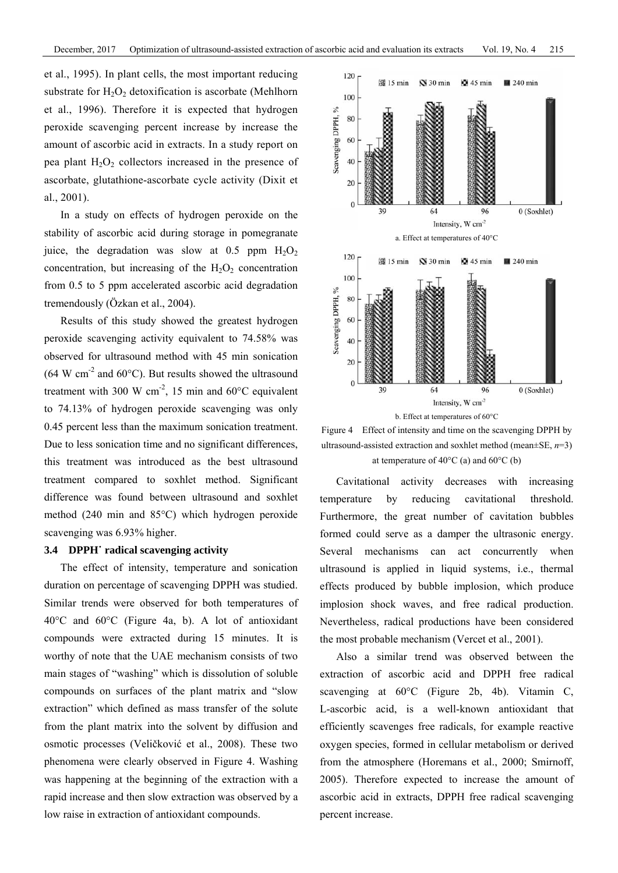et al., 1995). In plant cells, the most important reducing substrate for  $H_2O_2$  detoxification is ascorbate (Mehlhorn et al., 1996). Therefore it is expected that hydrogen peroxide scavenging percent increase by increase the amount of ascorbic acid in extracts. In a study report on pea plant  $H_2O_2$  collectors increased in the presence of ascorbate, glutathione-ascorbate cycle activity (Dixit et al., 2001).

In a study on effects of hydrogen peroxide on the stability of ascorbic acid during storage in pomegranate juice, the degradation was slow at 0.5 ppm  $H_2O_2$ concentration, but increasing of the  $H_2O_2$  concentration from 0.5 to 5 ppm accelerated ascorbic acid degradation tremendously (Özkan et al., 2004).

Results of this study showed the greatest hydrogen peroxide scavenging activity equivalent to 74.58% was observed for ultrasound method with 45 min sonication (64 W cm<sup>-2</sup> and 60 $^{\circ}$ C). But results showed the ultrasound treatment with 300 W cm<sup>-2</sup>, 15 min and 60 $^{\circ}$ C equivalent to 74.13% of hydrogen peroxide scavenging was only 0.45 percent less than the maximum sonication treatment. Due to less sonication time and no significant differences, this treatment was introduced as the best ultrasound treatment compared to soxhlet method. Significant difference was found between ultrasound and soxhlet method (240 min and 85°C) which hydrogen peroxide scavenging was 6.93% higher.

#### **3.4 DPPH˙ radical scavenging activity**

The effect of intensity, temperature and sonication duration on percentage of scavenging DPPH was studied. Similar trends were observed for both temperatures of 40°C and 60°C (Figure 4a, b). A lot of antioxidant compounds were extracted during 15 minutes. It is worthy of note that the UAE mechanism consists of two main stages of "washing" which is dissolution of soluble compounds on surfaces of the plant matrix and "slow extraction" which defined as mass transfer of the solute from the plant matrix into the solvent by diffusion and osmotic processes (Veličković et al., 2008). These two phenomena were clearly observed in Figure 4. Washing was happening at the beginning of the extraction with a rapid increase and then slow extraction was observed by a low raise in extraction of antioxidant compounds.



Figure 4 Effect of intensity and time on the scavenging DPPH by ultrasound-assisted extraction and soxhlet method (mean±SE, *n*=3) at temperature of  $40^{\circ}$ C (a) and  $60^{\circ}$ C (b)

Cavitational activity decreases with increasing temperature by reducing cavitational threshold. Furthermore, the great number of cavitation bubbles formed could serve as a damper the ultrasonic energy. Several mechanisms can act concurrently when ultrasound is applied in liquid systems, i.e., thermal effects produced by bubble implosion, which produce implosion shock waves, and free radical production. Nevertheless, radical productions have been considered the most probable mechanism (Vercet et al., 2001).

Also a similar trend was observed between the extraction of ascorbic acid and DPPH free radical scavenging at 60°C (Figure 2b, 4b). Vitamin C, L-ascorbic acid, is a well-known antioxidant that efficiently scavenges free radicals, for example reactive oxygen species, formed in cellular metabolism or derived from the atmosphere (Horemans et al., 2000; Smirnoff, 2005). Therefore expected to increase the amount of ascorbic acid in extracts, DPPH free radical scavenging percent increase.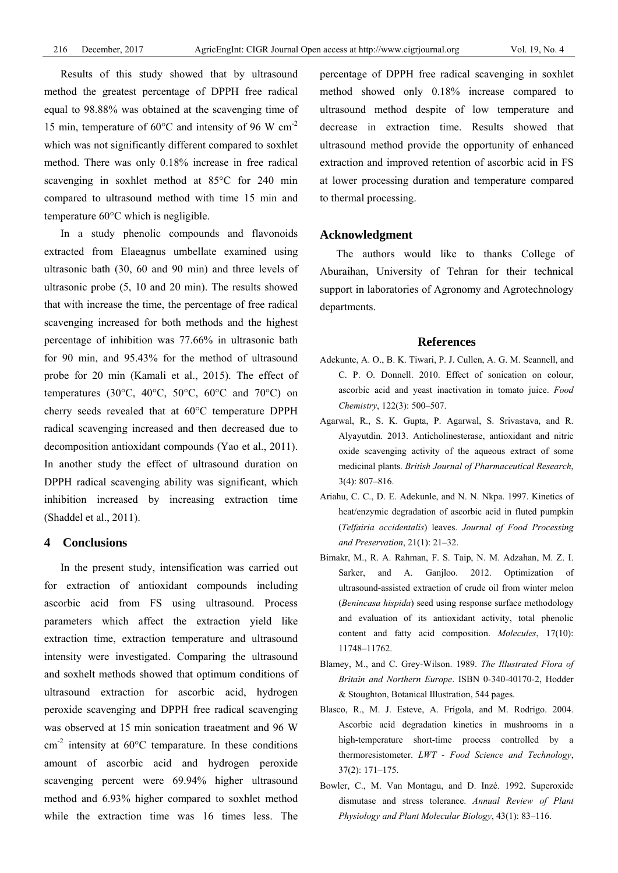Results of this study showed that by ultrasound method the greatest percentage of DPPH free radical equal to 98.88% was obtained at the scavenging time of 15 min, temperature of  $60^{\circ}$ C and intensity of 96 W cm<sup>-2</sup> which was not significantly different compared to soxhlet method. There was only 0.18% increase in free radical scavenging in soxhlet method at 85°C for 240 min compared to ultrasound method with time 15 min and temperature 60°C which is negligible.

In a study phenolic compounds and flavonoids extracted from Elaeagnus umbellate examined using ultrasonic bath (30, 60 and 90 min) and three levels of ultrasonic probe (5, 10 and 20 min). The results showed that with increase the time, the percentage of free radical scavenging increased for both methods and the highest percentage of inhibition was 77.66% in ultrasonic bath for 90 min, and 95.43% for the method of ultrasound probe for 20 min (Kamali et al., 2015). The effect of temperatures (30 $^{\circ}$ C, 40 $^{\circ}$ C, 50 $^{\circ}$ C, 60 $^{\circ}$ C and 70 $^{\circ}$ C) on cherry seeds revealed that at 60°C temperature DPPH radical scavenging increased and then decreased due to decomposition antioxidant compounds (Yao et al., 2011). In another study the effect of ultrasound duration on DPPH radical scavenging ability was significant, which inhibition increased by increasing extraction time (Shaddel et al., 2011).

# **4 Conclusions**

In the present study, intensification was carried out for extraction of antioxidant compounds including ascorbic acid from FS using ultrasound. Process parameters which affect the extraction yield like extraction time, extraction temperature and ultrasound intensity were investigated. Comparing the ultrasound and soxhelt methods showed that optimum conditions of ultrasound extraction for ascorbic acid, hydrogen peroxide scavenging and DPPH free radical scavenging was observed at 15 min sonication traeatment and 96 W  $\text{cm}^{-2}$  intensity at 60°C temparature. In these conditions amount of ascorbic acid and hydrogen peroxide scavenging percent were 69.94% higher ultrasound method and 6.93% higher compared to soxhlet method while the extraction time was 16 times less. The

percentage of DPPH free radical scavenging in soxhlet method showed only 0.18% increase compared to ultrasound method despite of low temperature and decrease in extraction time. Results showed that ultrasound method provide the opportunity of enhanced extraction and improved retention of ascorbic acid in FS at lower processing duration and temperature compared to thermal processing.

# **Acknowledgment**

The authors would like to thanks College of Aburaihan, University of Tehran for their technical support in laboratories of Agronomy and Agrotechnology departments.

## **References**

- Adekunte, A. O., B. K. Tiwari, P. J. Cullen, A. G. M. Scannell, and C. P. O. Donnell. 2010. Effect of sonication on colour, ascorbic acid and yeast inactivation in tomato juice. *Food Chemistry*, 122(3): 500–507.
- Agarwal, R., S. K. Gupta, P. Agarwal, S. Srivastava, and R. Alyayutdin. 2013. Anticholinesterase, antioxidant and nitric oxide scavenging activity of the aqueous extract of some medicinal plants. *British Journal of Pharmaceutical Research*, 3(4): 807–816.
- Ariahu, C. C., D. E. Adekunle, and N. N. Nkpa. 1997. Kinetics of heat/enzymic degradation of ascorbic acid in fluted pumpkin (*Telfairia occidentalis*) leaves. *Journal of Food Processing and Preservation*, 21(1): 21–32.
- Bimakr, M., R. A. Rahman, F. S. Taip, N. M. Adzahan, M. Z. I. Sarker, and A. Ganjloo. 2012. Optimization of ultrasound-assisted extraction of crude oil from winter melon (*Benincasa hispida*) seed using response surface methodology and evaluation of its antioxidant activity, total phenolic content and fatty acid composition. *Molecules*, 17(10): 11748–11762.
- Blamey, M., and C. Grey-Wilson. 1989. *The Illustrated Flora of Britain and Northern Europe*. ISBN 0-340-40170-2, Hodder & Stoughton, Botanical Illustration, 544 pages.
- Blasco, R., M. J. Esteve, A. Frígola, and M. Rodrigo. 2004. Ascorbic acid degradation kinetics in mushrooms in a high-temperature short-time process controlled by a thermoresistometer. *LWT - Food Science and Technology*, 37(2): 171–175.
- Bowler, C., M. Van Montagu, and D. Inzé. 1992. Superoxide dismutase and stress tolerance. *Annual Review of Plant Physiology and Plant Molecular Biology*, 43(1): 83–116.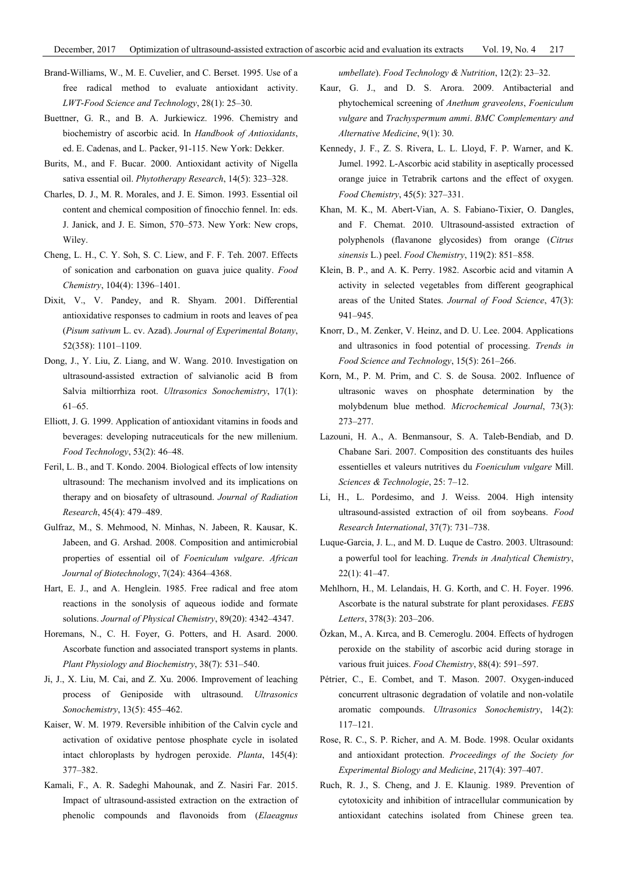- Brand-Williams, W., M. E. Cuvelier, and C. Berset. 1995. Use of a free radical method to evaluate antioxidant activity. *LWT*-*Food Science and Technology*, 28(1): 25–30.
- Buettner, G. R., and B. A. Jurkiewicz. 1996. Chemistry and biochemistry of ascorbic acid. In *Handbook of Antioxidants*, ed. E. Cadenas, and L. Packer, 91-115. New York: Dekker.
- Burits, M., and F. Bucar. 2000. Antioxidant activity of Nigella sativa essential oil. *Phytotherapy Research*, 14(5): 323–328.
- Charles, D. J., M. R. Morales, and J. E. Simon. 1993. Essential oil content and chemical composition of finocchio fennel. In: eds. J. Janick, and J. E. Simon, 570–573. New York: New crops, Wiley.
- Cheng, L. H., C. Y. Soh, S. C. Liew, and F. F. Teh. 2007. Effects of sonication and carbonation on guava juice quality. *Food Chemistry*, 104(4): 1396–1401.
- Dixit, V., V. Pandey, and R. Shyam. 2001. Differential antioxidative responses to cadmium in roots and leaves of pea (*Pisum sativum* L. cv. Azad). *Journal of Experimental Botany*, 52(358): 1101–1109.
- Dong, J., Y. Liu, Z. Liang, and W. Wang. 2010. Investigation on ultrasound-assisted extraction of salvianolic acid B from Salvia miltiorrhiza root. *Ultrasonics Sonochemistry*, 17(1): 61–65.
- Elliott, J. G. 1999. Application of antioxidant vitamins in foods and beverages: developing nutraceuticals for the new millenium. *Food Technology*, 53(2): 46–48.
- Feril, L. B., and T. Kondo. 2004. Biological effects of low intensity ultrasound: The mechanism involved and its implications on therapy and on biosafety of ultrasound. *Journal of Radiation Research*, 45(4): 479–489.
- Gulfraz, M., S. Mehmood, N. Minhas, N. Jabeen, R. Kausar, K. Jabeen, and G. Arshad. 2008. Composition and antimicrobial properties of essential oil of *Foeniculum vulgare*. *African Journal of Biotechnology*, 7(24): 4364–4368.
- Hart, E. J., and A. Henglein. 1985. Free radical and free atom reactions in the sonolysis of aqueous iodide and formate solutions. *Journal of Physical Chemistry*, 89(20): 4342–4347.
- Horemans, N., C. H. Foyer, G. Potters, and H. Asard. 2000. Ascorbate function and associated transport systems in plants. *Plant Physiology and Biochemistry*, 38(7): 531–540.
- Ji, J., X. Liu, M. Cai, and Z. Xu. 2006. Improvement of leaching process of Geniposide with ultrasound. *Ultrasonics Sonochemistry*, 13(5): 455–462.
- Kaiser, W. M. 1979. Reversible inhibition of the Calvin cycle and activation of oxidative pentose phosphate cycle in isolated intact chloroplasts by hydrogen peroxide. *Planta*, 145(4): 377–382.
- Kamali, F., A. R. Sadeghi Mahounak, and Z. Nasiri Far. 2015. Impact of ultrasound-assisted extraction on the extraction of phenolic compounds and flavonoids from (*Elaeagnus*

*umbellate*). *Food Technology & Nutrition*, 12(2): 23–32.

- Kaur, G. J., and D. S. Arora. 2009. Antibacterial and phytochemical screening of *Anethum graveolens*, *Foeniculum vulgare* and *Trachyspermum ammi*. *BMC Complementary and Alternative Medicine*, 9(1): 30.
- Kennedy, J. F., Z. S. Rivera, L. L. Lloyd, F. P. Warner, and K. Jumel. 1992. L-Ascorbic acid stability in aseptically processed orange juice in Tetrabrik cartons and the effect of oxygen. *Food Chemistry*, 45(5): 327–331.
- Khan, M. K., M. Abert-Vian, A. S. Fabiano-Tixier, O. Dangles, and F. Chemat. 2010. Ultrasound-assisted extraction of polyphenols (flavanone glycosides) from orange (*Citrus sinensis* L.) peel. *Food Chemistry*, 119(2): 851–858.
- Klein, B. P., and A. K. Perry. 1982. Ascorbic acid and vitamin A activity in selected vegetables from different geographical areas of the United States. *Journal of Food Science*, 47(3): 941–945.
- Knorr, D., M. Zenker, V. Heinz, and D. U. Lee. 2004. Applications and ultrasonics in food potential of processing. *Trends in Food Science and Technology*, 15(5): 261–266.
- Korn, M., P. M. Prim, and C. S. de Sousa. 2002. Influence of ultrasonic waves on phosphate determination by the molybdenum blue method. *Microchemical Journal*, 73(3): 273–277.
- Lazouni, H. A., A. Benmansour, S. A. Taleb-Bendiab, and D. Chabane Sari. 2007. Composition des constituants des huiles essentielles et valeurs nutritives du *Foeniculum vulgare* Mill. *Sciences & Technologie*, 25: 7–12.
- Li, H., L. Pordesimo, and J. Weiss. 2004. High intensity ultrasound-assisted extraction of oil from soybeans. *Food Research International*, 37(7): 731–738.
- Luque-Garcia, J. L., and M. D. Luque de Castro. 2003. Ultrasound: a powerful tool for leaching. *Trends in Analytical Chemistry*, 22(1): 41–47.
- Mehlhorn, H., M. Lelandais, H. G. Korth, and C. H. Foyer. 1996. Ascorbate is the natural substrate for plant peroxidases. *FEBS Letters*, 378(3): 203–206.
- Özkan, M., A. Kırca, and B. Cemeroglu. 2004. Effects of hydrogen peroxide on the stability of ascorbic acid during storage in various fruit juices. *Food Chemistry*, 88(4): 591–597.
- Pétrier, C., E. Combet, and T. Mason. 2007. Oxygen-induced concurrent ultrasonic degradation of volatile and non-volatile aromatic compounds. *Ultrasonics Sonochemistry*, 14(2): 117–121.
- Rose, R. C., S. P. Richer, and A. M. Bode. 1998. Ocular oxidants and antioxidant protection. *Proceedings of the Society for Experimental Biology and Medicine*, 217(4): 397–407.
- Ruch, R. J., S. Cheng, and J. E. Klaunig. 1989. Prevention of cytotoxicity and inhibition of intracellular communication by antioxidant catechins isolated from Chinese green tea.